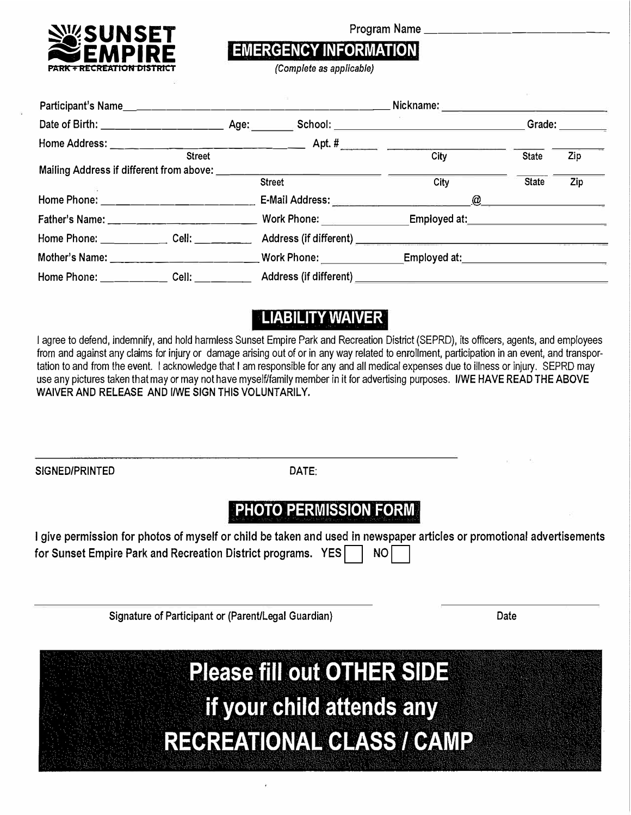

Program Name \_\_\_\_\_\_\_\_\_\_\_\_ \_

## **EMERGENCY INFORMATION**

**PARK+ RECREATION DISTRICT** *(Complete as applicable)* 

|                                                                                                      |               | Nickname: _______________________                                                                                                                                                                                                    |              |        |
|------------------------------------------------------------------------------------------------------|---------------|--------------------------------------------------------------------------------------------------------------------------------------------------------------------------------------------------------------------------------------|--------------|--------|
|                                                                                                      |               | School: _________________________                                                                                                                                                                                                    |              | Grade: |
|                                                                                                      |               |                                                                                                                                                                                                                                      |              |        |
| <b>Street</b>                                                                                        |               | City                                                                                                                                                                                                                                 | <b>State</b> | Zip    |
| Mailing Address if different from above: ____________                                                |               |                                                                                                                                                                                                                                      |              |        |
|                                                                                                      | <b>Street</b> | City                                                                                                                                                                                                                                 | <b>State</b> | Zip    |
|                                                                                                      |               | $\omega$                                                                                                                                                                                                                             |              |        |
|                                                                                                      |               | Work Phone: Employed at:                                                                                                                                                                                                             |              |        |
| Home Phone: Cell: Cell:                                                                              |               |                                                                                                                                                                                                                                      |              |        |
|                                                                                                      |               | Employed at: <u>contract and the set of the set of the set of the set of the set of the set of the set of the set of the set of the set of the set of the set of the set of the set of the set of the set of the set of the set </u> |              |        |
| Home Phone: _______________ Cell: _____________ Address (if different) _____________________________ |               |                                                                                                                                                                                                                                      |              |        |

## **LIABILITY WAIVER**

I agree to defend, indemnify, and hold harmless Sunset Empire Park and Recreation District (SEPRD}, its officers, agents, and employees from and against any claims for injury or damage arising out of or in any way related to enrollment, participation in an event, and transportation to and from the event. I acknowledge that I am responsible for any and all medical expenses due to illness or injury. SEPRD may use any pictures taken that may or may not have myself/family member in it for advertising purposes. I/WE HAVE READ THE ABOVE WAIVER AND RELEASE AND I/WE SIGN THIS VOLUNTARILY.

SIGNED/PRINTED DATE:

## **PHOTO PERMISSION FORM**

I give permission for photos of myself or child be taken and used in newspaper articles or promotional advertisements for Sunset Empire Park and Recreation District programs. YES | | NO

Signature of Participant or (Parent/Legal Guardian) Date